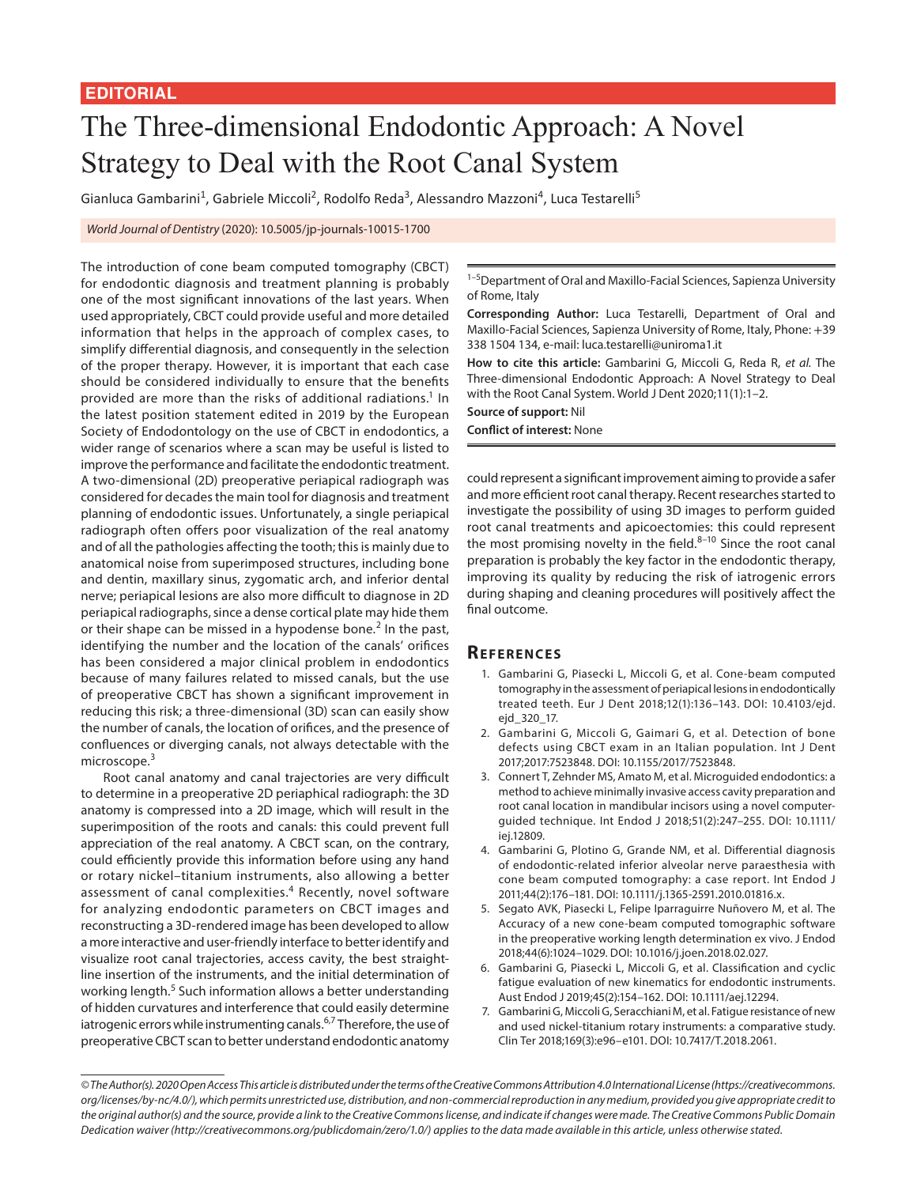## The Three-dimensional Endodontic Approach: A Novel Strategy to Deal with the Root Canal System

Gianluca Gambarini<sup>1</sup>, Gabriele Miccoli<sup>2</sup>, Rodolfo Reda<sup>3</sup>, Alessandro Mazzoni<sup>4</sup>, Luca Testarelli<sup>5</sup>

*World Journal of Dentistry* (2020): 10.5005/jp-journals-10015-1700

The introduction of cone beam computed tomography (CBCT) for endodontic diagnosis and treatment planning is probably one of the most significant innovations of the last years. When used appropriately, CBCT could provide useful and more detailed information that helps in the approach of complex cases, to simplify differential diagnosis, and consequently in the selection of the proper therapy. However, it is important that each case should be considered individually to ensure that the benefits provided are more than the risks of additional radiations.<sup>1</sup> In the latest position statement edited in 2019 by the European Society of Endodontology on the use of CBCT in endodontics, a wider range of scenarios where a scan may be useful is listed to improve the performance and facilitate the endodontic treatment. A two-dimensional (2D) preoperative periapical radiograph was considered for decades the main tool for diagnosis and treatment planning of endodontic issues. Unfortunately, a single periapical radiograph often offers poor visualization of the real anatomy and of all the pathologies affecting the tooth; this is mainly due to anatomical noise from superimposed structures, including bone and dentin, maxillary sinus, zygomatic arch, and inferior dental nerve; periapical lesions are also more difficult to diagnose in 2D periapical radiographs, since a dense cortical plate may hide them or their shape can be missed in a hypodense bone.<sup>2</sup> In the past, identifying the number and the location of the canals' orifices has been considered a major clinical problem in endodontics because of many failures related to missed canals, but the use of preoperative CBCT has shown a significant improvement in reducing this risk; a three-dimensional (3D) scan can easily show the number of canals, the location of orifices, and the presence of confluences or diverging canals, not always detectable with the microscope.<sup>3</sup>

Root canal anatomy and canal trajectories are very difficult to determine in a preoperative 2D periaphical radiograph: the 3D anatomy is compressed into a 2D image, which will result in the superimposition of the roots and canals: this could prevent full appreciation of the real anatomy. A CBCT scan, on the contrary, could efficiently provide this information before using any hand or rotary nickel–titanium instruments, also allowing a better assessment of canal complexities.<sup>4</sup> Recently, novel software for analyzing endodontic parameters on CBCT images and reconstructing a 3D-rendered image has been developed to allow a more interactive and user-friendly interface to better identify and visualize root canal trajectories, access cavity, the best straightline insertion of the instruments, and the initial determination of working length.<sup>5</sup> Such information allows a better understanding of hidden curvatures and interference that could easily determine iatrogenic errors while instrumenting canals.<sup>6,7</sup> Therefore, the use of preoperative CBCT scan to better understand endodontic anatomy <sup>1-5</sup>Department of Oral and Maxillo-Facial Sciences, Sapienza University of Rome, Italy

**Corresponding Author:** Luca Testarelli, Department of Oral and Maxillo-Facial Sciences, Sapienza University of Rome, Italy, Phone: +39 338 1504 134, e-mail: luca.testarelli@uniroma1.it

**How to cite this article:** Gambarini G, Miccoli G, Reda R, *et al.* The Three-dimensional Endodontic Approach: A Novel Strategy to Deal with the Root Canal System. World J Dent 2020;11(1):1–2.

**Source of support:** Nil **Conflict of interest:** None

could represent a significant improvement aiming to provide a safer and more efficient root canal therapy. Recent researches started to investigate the possibility of using 3D images to perform guided root canal treatments and apicoectomies: this could represent the most promising novelty in the field. $8-10$  Since the root canal preparation is probably the key factor in the endodontic therapy, improving its quality by reducing the risk of iatrogenic errors during shaping and cleaning procedures will positively affect the final outcome.

## **Re f ere n c e s**

- 1. Gambarini G, Piasecki L, Miccoli G, et al. Cone-beam computed tomography in the assessment of periapical lesions in endodontically treated teeth. Eur J Dent 2018;12(1):136–143. DOI: 10.4103/ejd. ejd\_320\_17.
- 2. Gambarini G, Miccoli G, Gaimari G, et al. Detection of bone defects using CBCT exam in an Italian population. Int J Dent 2017;2017:7523848. DOI: 10.1155/2017/7523848.
- 3. Connert T, Zehnder MS, Amato M, et al. Microguided endodontics: a method to achieve minimally invasive access cavity preparation and root canal location in mandibular incisors using a novel computerguided technique. Int Endod J 2018;51(2):247–255. DOI: 10.1111/ iej.12809.
- 4. Gambarini G, Plotino G, Grande NM, et al. Differential diagnosis of endodontic-related inferior alveolar nerve paraesthesia with cone beam computed tomography: a case report. Int Endod J 2011;44(2):176–181. DOI: 10.1111/j.1365-2591.2010.01816.x.
- 5. Segato AVK, Piasecki L, Felipe Iparraguirre Nuñovero M, et al. The Accuracy of a new cone-beam computed tomographic software in the preoperative working length determination ex vivo. J Endod 2018;44(6):1024–1029. DOI: 10.1016/j.joen.2018.02.027.
- 6. Gambarini G, Piasecki L, Miccoli G, et al. Classification and cyclic fatigue evaluation of new kinematics for endodontic instruments. Aust Endod J 2019;45(2):154–162. DOI: 10.1111/aej.12294.
- 7. Gambarini G, Miccoli G, Seracchiani M, et al. Fatigue resistance of new and used nickel-titanium rotary instruments: a comparative study. Clin Ter 2018;169(3):e96–e101. DOI: 10.7417/T.2018.2061.

*<sup>©</sup> The Author(s). 2020 Open Access This article is distributed under the terms of the Creative Commons Attribution 4.0 International License (https://creativecommons. org/licenses/by-nc/4.0/), which permits unrestricted use, distribution, and non-commercial reproduction in any medium, provided you give appropriate credit to the original author(s) and the source, provide a link to the Creative Commons license, and indicate if changes were made. The Creative Commons Public Domain Dedication waiver (http://creativecommons.org/publicdomain/zero/1.0/) applies to the data made available in this article, unless otherwise stated.*